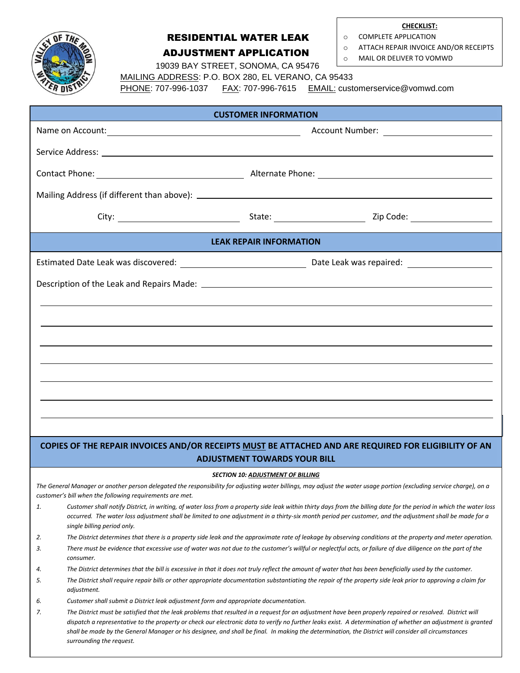

*surrounding the request.*

## RESIDENTIAL WATER LEAK ADJUSTMENT APPLICATION

**CHECKLIST:**

o COMPLETE APPLICATION o ATTACH REPAIR INVOICE AND/OR RECEIPTS

o MAIL OR DELIVER TO VOMWD

19039 BAY STREET, SONOMA, CA 95476

 MAILING ADDRESS: P.O. BOX 280, EL VERANO, CA 95433 PHONE: 707-996-1037 FAX: 707-996-7615 EMAIL: customerservice@vomwd.com

| <b>CUSTOMER INFORMATION</b>                                                                                                                                                                                      |                                                                                         |                                                                                                                                                                                                                                                                                                                                                                                                                                                                                  |  |
|------------------------------------------------------------------------------------------------------------------------------------------------------------------------------------------------------------------|-----------------------------------------------------------------------------------------|----------------------------------------------------------------------------------------------------------------------------------------------------------------------------------------------------------------------------------------------------------------------------------------------------------------------------------------------------------------------------------------------------------------------------------------------------------------------------------|--|
|                                                                                                                                                                                                                  |                                                                                         |                                                                                                                                                                                                                                                                                                                                                                                                                                                                                  |  |
|                                                                                                                                                                                                                  |                                                                                         |                                                                                                                                                                                                                                                                                                                                                                                                                                                                                  |  |
|                                                                                                                                                                                                                  |                                                                                         |                                                                                                                                                                                                                                                                                                                                                                                                                                                                                  |  |
|                                                                                                                                                                                                                  |                                                                                         |                                                                                                                                                                                                                                                                                                                                                                                                                                                                                  |  |
|                                                                                                                                                                                                                  |                                                                                         |                                                                                                                                                                                                                                                                                                                                                                                                                                                                                  |  |
| <b>LEAK REPAIR INFORMATION</b>                                                                                                                                                                                   |                                                                                         |                                                                                                                                                                                                                                                                                                                                                                                                                                                                                  |  |
|                                                                                                                                                                                                                  |                                                                                         |                                                                                                                                                                                                                                                                                                                                                                                                                                                                                  |  |
|                                                                                                                                                                                                                  |                                                                                         |                                                                                                                                                                                                                                                                                                                                                                                                                                                                                  |  |
|                                                                                                                                                                                                                  |                                                                                         |                                                                                                                                                                                                                                                                                                                                                                                                                                                                                  |  |
|                                                                                                                                                                                                                  |                                                                                         |                                                                                                                                                                                                                                                                                                                                                                                                                                                                                  |  |
|                                                                                                                                                                                                                  |                                                                                         |                                                                                                                                                                                                                                                                                                                                                                                                                                                                                  |  |
|                                                                                                                                                                                                                  |                                                                                         |                                                                                                                                                                                                                                                                                                                                                                                                                                                                                  |  |
|                                                                                                                                                                                                                  |                                                                                         |                                                                                                                                                                                                                                                                                                                                                                                                                                                                                  |  |
|                                                                                                                                                                                                                  |                                                                                         |                                                                                                                                                                                                                                                                                                                                                                                                                                                                                  |  |
|                                                                                                                                                                                                                  |                                                                                         |                                                                                                                                                                                                                                                                                                                                                                                                                                                                                  |  |
|                                                                                                                                                                                                                  |                                                                                         |                                                                                                                                                                                                                                                                                                                                                                                                                                                                                  |  |
| COPIES OF THE REPAIR INVOICES AND/OR RECEIPTS MUST BE ATTACHED AND ARE REQUIRED FOR ELIGIBILITY OF AN                                                                                                            |                                                                                         |                                                                                                                                                                                                                                                                                                                                                                                                                                                                                  |  |
| <b>ADJUSTMENT TOWARDS YOUR BILL</b>                                                                                                                                                                              |                                                                                         |                                                                                                                                                                                                                                                                                                                                                                                                                                                                                  |  |
| <b>SECTION 10: ADJUSTMENT OF BILLING</b><br>The General Manager or another person delegated the responsibility for adjusting water billings, may adjust the water usage portion (excluding service charge), on a |                                                                                         |                                                                                                                                                                                                                                                                                                                                                                                                                                                                                  |  |
| 1.                                                                                                                                                                                                               | customer's bill when the following requirements are met.<br>single billing period only. | Customer shall notify District, in writing, of water loss from a property side leak within thirty days from the billing date for the period in which the water loss<br>occurred. The water loss adjustment shall be limited to one adjustment in a thirty-six month period per customer, and the adjustment shall be made for a                                                                                                                                                  |  |
| 2.                                                                                                                                                                                                               |                                                                                         | The District determines that there is a property side leak and the approximate rate of leakage by observing conditions at the property and meter operation.                                                                                                                                                                                                                                                                                                                      |  |
| 3.                                                                                                                                                                                                               | consumer.                                                                               | There must be evidence that excessive use of water was not due to the customer's willful or neglectful acts, or failure of due diligence on the part of the                                                                                                                                                                                                                                                                                                                      |  |
| 4.                                                                                                                                                                                                               |                                                                                         | The District determines that the bill is excessive in that it does not truly reflect the amount of water that has been beneficially used by the customer.                                                                                                                                                                                                                                                                                                                        |  |
| 5.                                                                                                                                                                                                               | adjustment.                                                                             | The District shall require repair bills or other appropriate documentation substantiating the repair of the property side leak prior to approving a claim for                                                                                                                                                                                                                                                                                                                    |  |
| 6.                                                                                                                                                                                                               | Customer shall submit a District leak adjustment form and appropriate documentation.    |                                                                                                                                                                                                                                                                                                                                                                                                                                                                                  |  |
| 7.                                                                                                                                                                                                               |                                                                                         | The District must be satisfied that the leak problems that resulted in a request for an adjustment have been properly repaired or resolved. District will<br>dispatch a representative to the property or check our electronic data to verify no further leaks exist. A determination of whether an adjustment is granted<br>shall be made by the General Manager or his designee, and shall be final. In making the determination, the District will consider all circumstances |  |